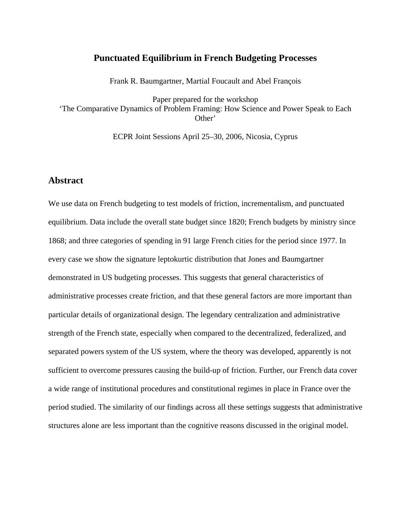#### **Punctuated Equilibrium in French Budgeting Processes**

Frank R. Baumgartner, Martial Foucault and Abel François

Paper prepared for the workshop 'The Comparative Dynamics of Problem Framing: How Science and Power Speak to Each Other'

ECPR Joint Sessions April 25–30, 2006, Nicosia, Cyprus

#### **Abstract**

We use data on French budgeting to test models of friction, incrementalism, and punctuated equilibrium. Data include the overall state budget since 1820; French budgets by ministry since 1868; and three categories of spending in 91 large French cities for the period since 1977. In every case we show the signature leptokurtic distribution that Jones and Baumgartner demonstrated in US budgeting processes. This suggests that general characteristics of administrative processes create friction, and that these general factors are more important than particular details of organizational design. The legendary centralization and administrative strength of the French state, especially when compared to the decentralized, federalized, and separated powers system of the US system, where the theory was developed, apparently is not sufficient to overcome pressures causing the build-up of friction. Further, our French data cover a wide range of institutional procedures and constitutional regimes in place in France over the period studied. The similarity of our findings across all these settings suggests that administrative structures alone are less important than the cognitive reasons discussed in the original model.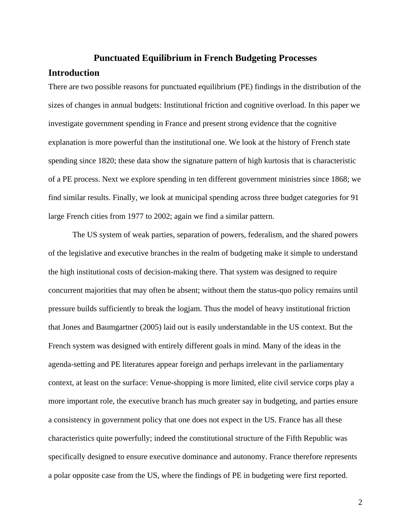## **Punctuated Equilibrium in French Budgeting Processes**

## **Introduction**

There are two possible reasons for punctuated equilibrium (PE) findings in the distribution of the sizes of changes in annual budgets: Institutional friction and cognitive overload. In this paper we investigate government spending in France and present strong evidence that the cognitive explanation is more powerful than the institutional one. We look at the history of French state spending since 1820; these data show the signature pattern of high kurtosis that is characteristic of a PE process. Next we explore spending in ten different government ministries since 1868; we find similar results. Finally, we look at municipal spending across three budget categories for 91 large French cities from 1977 to 2002; again we find a similar pattern.

The US system of weak parties, separation of powers, federalism, and the shared powers of the legislative and executive branches in the realm of budgeting make it simple to understand the high institutional costs of decision-making there. That system was designed to require concurrent majorities that may often be absent; without them the status-quo policy remains until pressure builds sufficiently to break the logjam. Thus the model of heavy institutional friction that Jones and Baumgartner (2005) laid out is easily understandable in the US context. But the French system was designed with entirely different goals in mind. Many of the ideas in the agenda-setting and PE literatures appear foreign and perhaps irrelevant in the parliamentary context, at least on the surface: Venue-shopping is more limited, elite civil service corps play a more important role, the executive branch has much greater say in budgeting, and parties ensure a consistency in government policy that one does not expect in the US. France has all these characteristics quite powerfully; indeed the constitutional structure of the Fifth Republic was specifically designed to ensure executive dominance and autonomy. France therefore represents a polar opposite case from the US, where the findings of PE in budgeting were first reported.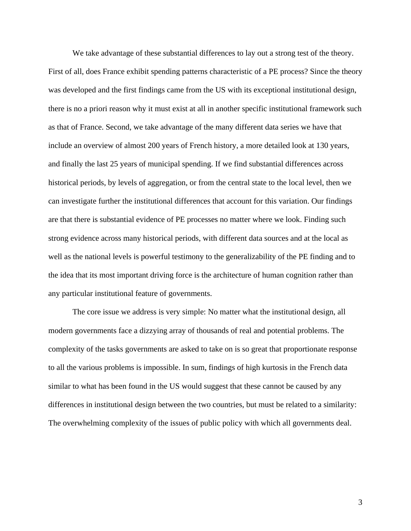We take advantage of these substantial differences to lay out a strong test of the theory. First of all, does France exhibit spending patterns characteristic of a PE process? Since the theory was developed and the first findings came from the US with its exceptional institutional design, there is no a priori reason why it must exist at all in another specific institutional framework such as that of France. Second, we take advantage of the many different data series we have that include an overview of almost 200 years of French history, a more detailed look at 130 years, and finally the last 25 years of municipal spending. If we find substantial differences across historical periods, by levels of aggregation, or from the central state to the local level, then we can investigate further the institutional differences that account for this variation. Our findings are that there is substantial evidence of PE processes no matter where we look. Finding such strong evidence across many historical periods, with different data sources and at the local as well as the national levels is powerful testimony to the generalizability of the PE finding and to the idea that its most important driving force is the architecture of human cognition rather than any particular institutional feature of governments.

The core issue we address is very simple: No matter what the institutional design, all modern governments face a dizzying array of thousands of real and potential problems. The complexity of the tasks governments are asked to take on is so great that proportionate response to all the various problems is impossible. In sum, findings of high kurtosis in the French data similar to what has been found in the US would suggest that these cannot be caused by any differences in institutional design between the two countries, but must be related to a similarity: The overwhelming complexity of the issues of public policy with which all governments deal.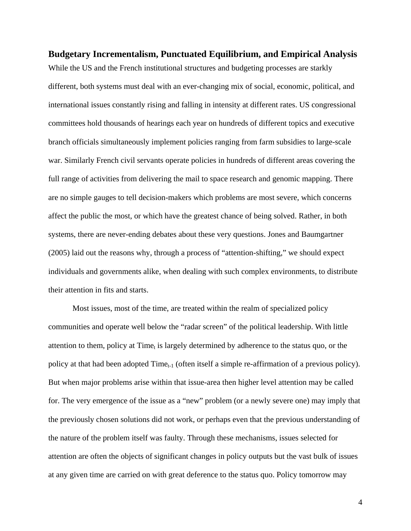**Budgetary Incrementalism, Punctuated Equilibrium, and Empirical Analysis**  While the US and the French institutional structures and budgeting processes are starkly different, both systems must deal with an ever-changing mix of social, economic, political, and international issues constantly rising and falling in intensity at different rates. US congressional committees hold thousands of hearings each year on hundreds of different topics and executive branch officials simultaneously implement policies ranging from farm subsidies to large-scale war. Similarly French civil servants operate policies in hundreds of different areas covering the full range of activities from delivering the mail to space research and genomic mapping. There are no simple gauges to tell decision-makers which problems are most severe, which concerns affect the public the most, or which have the greatest chance of being solved. Rather, in both systems, there are never-ending debates about these very questions. Jones and Baumgartner (2005) laid out the reasons why, through a process of "attention-shifting," we should expect individuals and governments alike, when dealing with such complex environments, to distribute their attention in fits and starts.

Most issues, most of the time, are treated within the realm of specialized policy communities and operate well below the "radar screen" of the political leadership. With little attention to them, policy at Time<sub>t</sub> is largely determined by adherence to the status quo, or the policy at that had been adopted  $Time_{t-1}$  (often itself a simple re-affirmation of a previous policy). But when major problems arise within that issue-area then higher level attention may be called for. The very emergence of the issue as a "new" problem (or a newly severe one) may imply that the previously chosen solutions did not work, or perhaps even that the previous understanding of the nature of the problem itself was faulty. Through these mechanisms, issues selected for attention are often the objects of significant changes in policy outputs but the vast bulk of issues at any given time are carried on with great deference to the status quo. Policy tomorrow may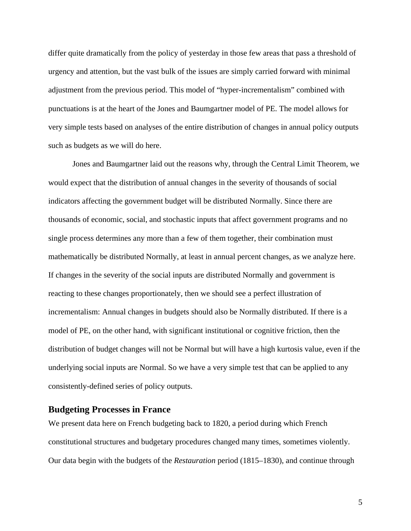differ quite dramatically from the policy of yesterday in those few areas that pass a threshold of urgency and attention, but the vast bulk of the issues are simply carried forward with minimal adjustment from the previous period. This model of "hyper-incrementalism" combined with punctuations is at the heart of the Jones and Baumgartner model of PE. The model allows for very simple tests based on analyses of the entire distribution of changes in annual policy outputs such as budgets as we will do here.

Jones and Baumgartner laid out the reasons why, through the Central Limit Theorem, we would expect that the distribution of annual changes in the severity of thousands of social indicators affecting the government budget will be distributed Normally. Since there are thousands of economic, social, and stochastic inputs that affect government programs and no single process determines any more than a few of them together, their combination must mathematically be distributed Normally, at least in annual percent changes, as we analyze here. If changes in the severity of the social inputs are distributed Normally and government is reacting to these changes proportionately, then we should see a perfect illustration of incrementalism: Annual changes in budgets should also be Normally distributed. If there is a model of PE, on the other hand, with significant institutional or cognitive friction, then the distribution of budget changes will not be Normal but will have a high kurtosis value, even if the underlying social inputs are Normal. So we have a very simple test that can be applied to any consistently-defined series of policy outputs.

## **Budgeting Processes in France**

We present data here on French budgeting back to 1820, a period during which French constitutional structures and budgetary procedures changed many times, sometimes violently. Our data begin with the budgets of the *Restauration* period (1815–1830), and continue through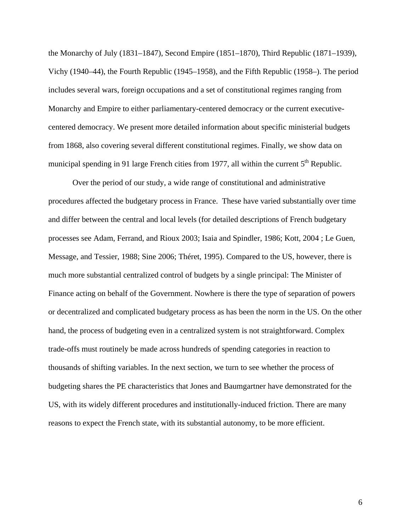the Monarchy of July (1831–1847), Second Empire (1851–1870), Third Republic (1871–1939), Vichy (1940–44), the Fourth Republic (1945–1958), and the Fifth Republic (1958–). The period includes several wars, foreign occupations and a set of constitutional regimes ranging from Monarchy and Empire to either parliamentary-centered democracy or the current executivecentered democracy. We present more detailed information about specific ministerial budgets from 1868, also covering several different constitutional regimes. Finally, we show data on municipal spending in 91 large French cities from 1977, all within the current  $5<sup>th</sup>$  Republic.

Over the period of our study, a wide range of constitutional and administrative procedures affected the budgetary process in France. These have varied substantially over time and differ between the central and local levels (for detailed descriptions of French budgetary processes see Adam, Ferrand, and Rioux 2003; Isaia and Spindler, 1986; Kott, 2004 ; Le Guen, Message, and Tessier, 1988; Sine 2006; Théret, 1995). Compared to the US, however, there is much more substantial centralized control of budgets by a single principal: The Minister of Finance acting on behalf of the Government. Nowhere is there the type of separation of powers or decentralized and complicated budgetary process as has been the norm in the US. On the other hand, the process of budgeting even in a centralized system is not straightforward. Complex trade-offs must routinely be made across hundreds of spending categories in reaction to thousands of shifting variables. In the next section, we turn to see whether the process of budgeting shares the PE characteristics that Jones and Baumgartner have demonstrated for the US, with its widely different procedures and institutionally-induced friction. There are many reasons to expect the French state, with its substantial autonomy, to be more efficient.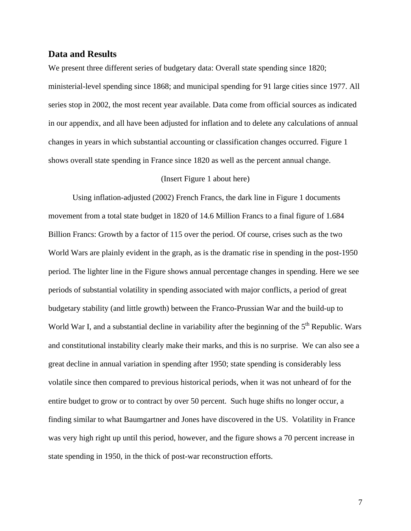## **Data and Results**

We present three different series of budgetary data: Overall state spending since 1820; ministerial-level spending since 1868; and municipal spending for 91 large cities since 1977. All series stop in 2002, the most recent year available. Data come from official sources as indicated in our appendix, and all have been adjusted for inflation and to delete any calculations of annual changes in years in which substantial accounting or classification changes occurred. Figure 1 shows overall state spending in France since 1820 as well as the percent annual change.

#### (Insert Figure 1 about here)

Using inflation-adjusted (2002) French Francs, the dark line in Figure 1 documents movement from a total state budget in 1820 of 14.6 Million Francs to a final figure of 1.684 Billion Francs: Growth by a factor of 115 over the period. Of course, crises such as the two World Wars are plainly evident in the graph, as is the dramatic rise in spending in the post-1950 period. The lighter line in the Figure shows annual percentage changes in spending. Here we see periods of substantial volatility in spending associated with major conflicts, a period of great budgetary stability (and little growth) between the Franco-Prussian War and the build-up to World War I, and a substantial decline in variability after the beginning of the  $5<sup>th</sup>$  Republic. Wars and constitutional instability clearly make their marks, and this is no surprise. We can also see a great decline in annual variation in spending after 1950; state spending is considerably less volatile since then compared to previous historical periods, when it was not unheard of for the entire budget to grow or to contract by over 50 percent. Such huge shifts no longer occur, a finding similar to what Baumgartner and Jones have discovered in the US. Volatility in France was very high right up until this period, however, and the figure shows a 70 percent increase in state spending in 1950, in the thick of post-war reconstruction efforts.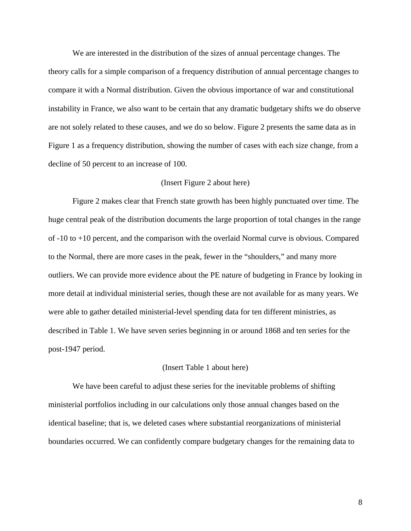We are interested in the distribution of the sizes of annual percentage changes. The theory calls for a simple comparison of a frequency distribution of annual percentage changes to compare it with a Normal distribution. Given the obvious importance of war and constitutional instability in France, we also want to be certain that any dramatic budgetary shifts we do observe are not solely related to these causes, and we do so below. Figure 2 presents the same data as in Figure 1 as a frequency distribution, showing the number of cases with each size change, from a decline of 50 percent to an increase of 100.

#### (Insert Figure 2 about here)

Figure 2 makes clear that French state growth has been highly punctuated over time. The huge central peak of the distribution documents the large proportion of total changes in the range of -10 to +10 percent, and the comparison with the overlaid Normal curve is obvious. Compared to the Normal, there are more cases in the peak, fewer in the "shoulders," and many more outliers. We can provide more evidence about the PE nature of budgeting in France by looking in more detail at individual ministerial series, though these are not available for as many years. We were able to gather detailed ministerial-level spending data for ten different ministries, as described in Table 1. We have seven series beginning in or around 1868 and ten series for the post-1947 period.

#### (Insert Table 1 about here)

We have been careful to adjust these series for the inevitable problems of shifting ministerial portfolios including in our calculations only those annual changes based on the identical baseline; that is, we deleted cases where substantial reorganizations of ministerial boundaries occurred. We can confidently compare budgetary changes for the remaining data to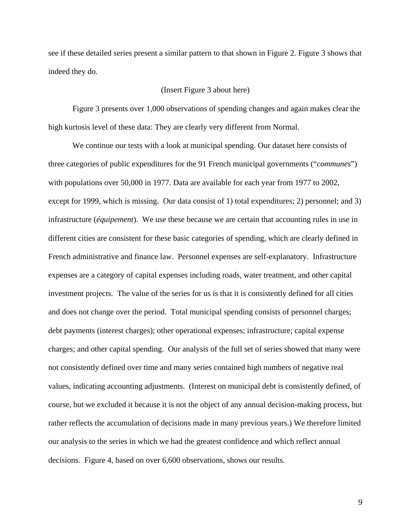see if these detailed series present a similar pattern to that shown in Figure 2. Figure 3 shows that indeed they do.

#### (Insert Figure 3 about here)

Figure 3 presents over 1,000 observations of spending changes and again makes clear the high kurtosis level of these data: They are clearly very different from Normal.

We continue our tests with a look at municipal spending. Our dataset here consists of three categories of public expenditures for the 91 French municipal governments ("*communes*") with populations over 50,000 in 1977. Data are available for each year from 1977 to 2002, except for 1999, which is missing. Our data consist of 1) total expenditures; 2) personnel; and 3) infrastructure (*équipement*). We use these because we are certain that accounting rules in use in different cities are consistent for these basic categories of spending, which are clearly defined in French administrative and finance law. Personnel expenses are self-explanatory. Infrastructure expenses are a category of capital expenses including roads, water treatment, and other capital investment projects. The value of the series for us is that it is consistently defined for all cities and does not change over the period. Total municipal spending consists of personnel charges; debt payments (interest charges); other operational expenses; infrastructure; capital expense charges; and other capital spending. Our analysis of the full set of series showed that many were not consistently defined over time and many series contained high numbers of negative real values, indicating accounting adjustments. (Interest on municipal debt is consistently defined, of course, but we excluded it because it is not the object of any annual decision-making process, but rather reflects the accumulation of decisions made in many previous years.) We therefore limited our analysis to the series in which we had the greatest confidence and which reflect annual decisions. Figure 4, based on over 6,600 observations, shows our results.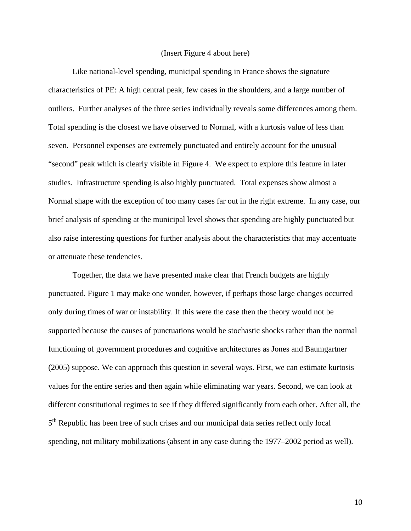#### (Insert Figure 4 about here)

Like national-level spending, municipal spending in France shows the signature characteristics of PE: A high central peak, few cases in the shoulders, and a large number of outliers. Further analyses of the three series individually reveals some differences among them. Total spending is the closest we have observed to Normal, with a kurtosis value of less than seven. Personnel expenses are extremely punctuated and entirely account for the unusual "second" peak which is clearly visible in Figure 4. We expect to explore this feature in later studies. Infrastructure spending is also highly punctuated. Total expenses show almost a Normal shape with the exception of too many cases far out in the right extreme. In any case, our brief analysis of spending at the municipal level shows that spending are highly punctuated but also raise interesting questions for further analysis about the characteristics that may accentuate or attenuate these tendencies.

Together, the data we have presented make clear that French budgets are highly punctuated. Figure 1 may make one wonder, however, if perhaps those large changes occurred only during times of war or instability. If this were the case then the theory would not be supported because the causes of punctuations would be stochastic shocks rather than the normal functioning of government procedures and cognitive architectures as Jones and Baumgartner (2005) suppose. We can approach this question in several ways. First, we can estimate kurtosis values for the entire series and then again while eliminating war years. Second, we can look at different constitutional regimes to see if they differed significantly from each other. After all, the 5<sup>th</sup> Republic has been free of such crises and our municipal data series reflect only local spending, not military mobilizations (absent in any case during the 1977–2002 period as well).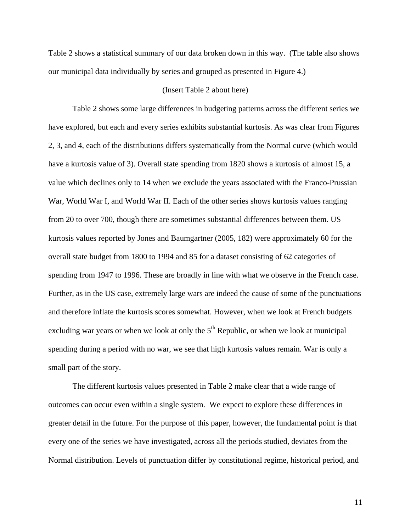Table 2 shows a statistical summary of our data broken down in this way. (The table also shows our municipal data individually by series and grouped as presented in Figure 4.)

#### (Insert Table 2 about here)

Table 2 shows some large differences in budgeting patterns across the different series we have explored, but each and every series exhibits substantial kurtosis. As was clear from Figures 2, 3, and 4, each of the distributions differs systematically from the Normal curve (which would have a kurtosis value of 3). Overall state spending from 1820 shows a kurtosis of almost 15, a value which declines only to 14 when we exclude the years associated with the Franco-Prussian War, World War I, and World War II. Each of the other series shows kurtosis values ranging from 20 to over 700, though there are sometimes substantial differences between them. US kurtosis values reported by Jones and Baumgartner (2005, 182) were approximately 60 for the overall state budget from 1800 to 1994 and 85 for a dataset consisting of 62 categories of spending from 1947 to 1996. These are broadly in line with what we observe in the French case. Further, as in the US case, extremely large wars are indeed the cause of some of the punctuations and therefore inflate the kurtosis scores somewhat. However, when we look at French budgets excluding war years or when we look at only the  $5<sup>th</sup>$  Republic, or when we look at municipal spending during a period with no war, we see that high kurtosis values remain. War is only a small part of the story.

The different kurtosis values presented in Table 2 make clear that a wide range of outcomes can occur even within a single system. We expect to explore these differences in greater detail in the future. For the purpose of this paper, however, the fundamental point is that every one of the series we have investigated, across all the periods studied, deviates from the Normal distribution. Levels of punctuation differ by constitutional regime, historical period, and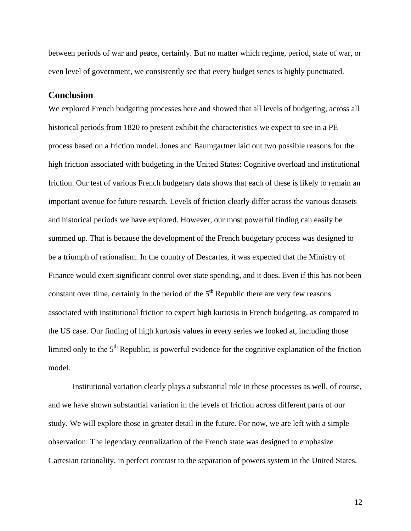between periods of war and peace, certainly. But no matter which regime, period, state of war, or even level of government, we consistently see that every budget series is highly punctuated.

## **Conclusion**

We explored French budgeting processes here and showed that all levels of budgeting, across all historical periods from 1820 to present exhibit the characteristics we expect to see in a PE process based on a friction model. Jones and Baumgartner laid out two possible reasons for the high friction associated with budgeting in the United States: Cognitive overload and institutional friction. Our test of various French budgetary data shows that each of these is likely to remain an important avenue for future research. Levels of friction clearly differ across the various datasets and historical periods we have explored. However, our most powerful finding can easily be summed up. That is because the development of the French budgetary process was designed to be a triumph of rationalism. In the country of Descartes, it was expected that the Ministry of Finance would exert significant control over state spending, and it does. Even if this has not been constant over time, certainly in the period of the  $5<sup>th</sup>$  Republic there are very few reasons associated with institutional friction to expect high kurtosis in French budgeting, as compared to the US case. Our finding of high kurtosis values in every series we looked at, including those limited only to the  $5<sup>th</sup>$  Republic, is powerful evidence for the cognitive explanation of the friction model.

Institutional variation clearly plays a substantial role in these processes as well, of course, and we have shown substantial variation in the levels of friction across different parts of our study. We will explore those in greater detail in the future. For now, we are left with a simple observation: The legendary centralization of the French state was designed to emphasize Cartesian rationality, in perfect contrast to the separation of powers system in the United States.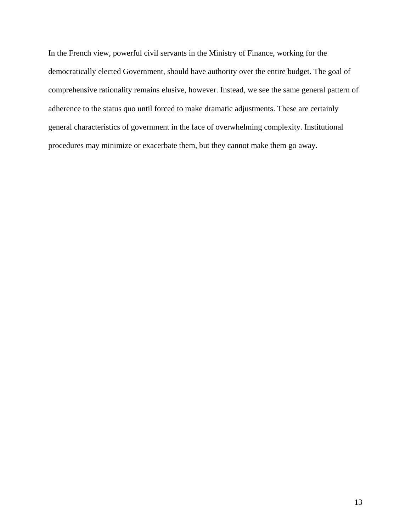In the French view, powerful civil servants in the Ministry of Finance, working for the democratically elected Government, should have authority over the entire budget. The goal of comprehensive rationality remains elusive, however. Instead, we see the same general pattern of adherence to the status quo until forced to make dramatic adjustments. These are certainly general characteristics of government in the face of overwhelming complexity. Institutional procedures may minimize or exacerbate them, but they cannot make them go away.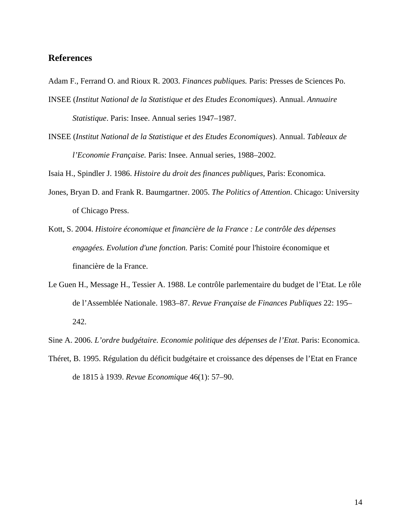## **References**

- Adam F., Ferrand O. and Rioux R. 2003. *Finances publiques.* Paris: Presses de Sciences Po.
- INSEE (*Institut National de la Statistique et des Etudes Economiques*). Annual. *Annuaire Statistique*. Paris: Insee. Annual series 1947–1987.
- INSEE (*Institut National de la Statistique et des Etudes Economiques*). Annual. *Tableaux de l'Economie Française.* Paris: Insee. Annual series, 1988–2002.

Isaia H., Spindler J. 1986. *Histoire du droit des finances publiques*, Paris: Economica.

- Jones, Bryan D. and Frank R. Baumgartner. 2005. *The Politics of Attention*. Chicago: University of Chicago Press.
- Kott, S. 2004. *Histoire économique et financière de la France : Le contrôle des dépenses engagées. Evolution d'une fonction.* Paris: Comité pour l'histoire économique et financière de la France.
- Le Guen H., Message H., Tessier A. 1988. Le contrôle parlementaire du budget de l'Etat. Le rôle de l'Assemblée Nationale. 1983–87. *Revue Française de Finances Publiques* 22: 195– 242.
- Sine A. 2006. *L'ordre budgétaire. Economie politique des dépenses de l'Etat*. Paris: Economica.
- Théret, B. 1995. Régulation du déficit budgétaire et croissance des dépenses de l'Etat en France de 1815 à 1939. *Revue Economique* 46(1): 57–90.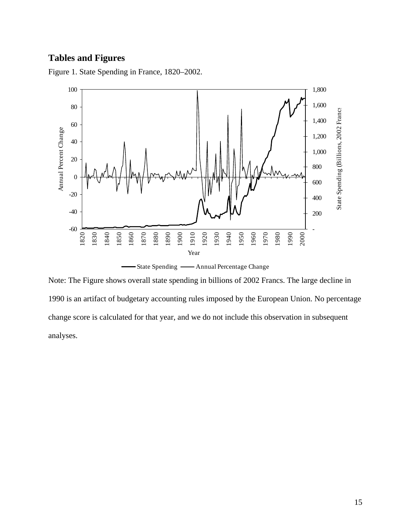# **Tables and Figures**

Figure 1. State Spending in France, 1820–2002.



Note: The Figure shows overall state spending in billions of 2002 Francs. The large decline in 1990 is an artifact of budgetary accounting rules imposed by the European Union. No percentage change score is calculated for that year, and we do not include this observation in subsequent analyses.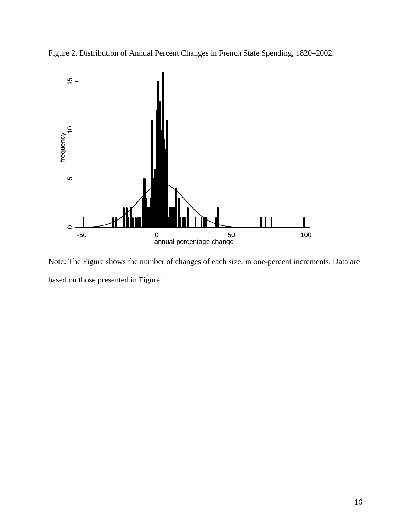



Note: The Figure shows the number of changes of each size, in one-percent increments. Data are based on those presented in Figure 1.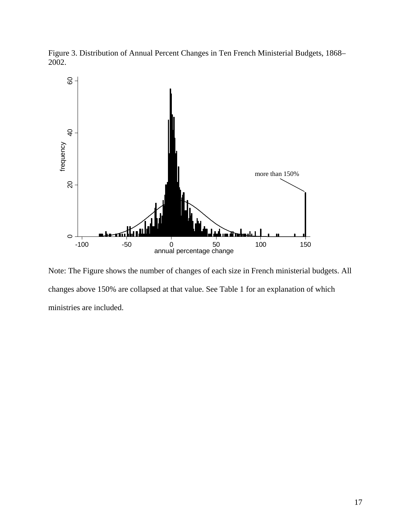Figure 3. Distribution of Annual Percent Changes in Ten French Ministerial Budgets, 1868– 2002.



Note: The Figure shows the number of changes of each size in French ministerial budgets. All changes above 150% are collapsed at that value. See Table 1 for an explanation of which ministries are included.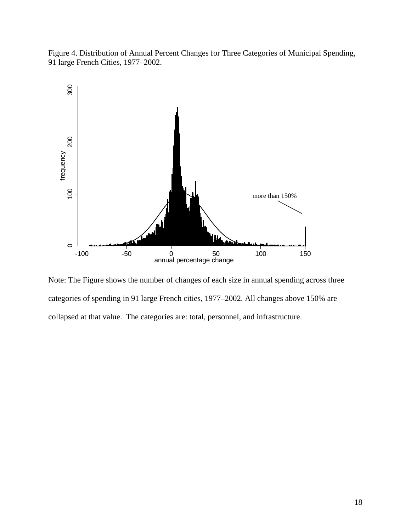Figure 4. Distribution of Annual Percent Changes for Three Categories of Municipal Spending, 91 large French Cities, 1977–2002.



Note: The Figure shows the number of changes of each size in annual spending across three categories of spending in 91 large French cities, 1977–2002. All changes above 150% are collapsed at that value. The categories are: total, personnel, and infrastructure.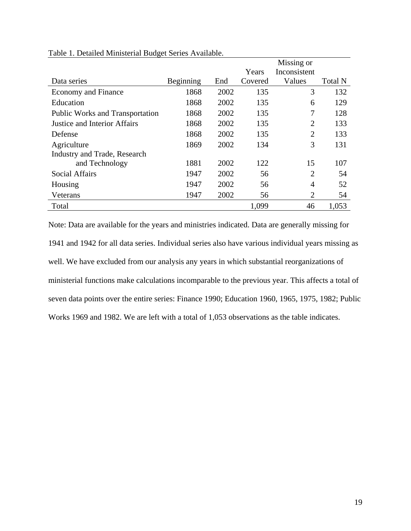|                                        |           |      |         | Missing or     |                |
|----------------------------------------|-----------|------|---------|----------------|----------------|
|                                        |           |      | Years   | Inconsistent   |                |
| Data series                            | Beginning | End  | Covered | Values         | <b>Total N</b> |
| <b>Economy and Finance</b>             | 1868      | 2002 | 135     | 3              | 132            |
| Education                              | 1868      | 2002 | 135     | 6              | 129            |
| <b>Public Works and Transportation</b> | 1868      | 2002 | 135     | 7              | 128            |
| <b>Justice and Interior Affairs</b>    | 1868      | 2002 | 135     | $\overline{2}$ | 133            |
| Defense                                | 1868      | 2002 | 135     | $\overline{2}$ | 133            |
| Agriculture                            | 1869      | 2002 | 134     | 3              | 131            |
| Industry and Trade, Research           |           |      |         |                |                |
| and Technology                         | 1881      | 2002 | 122     | 15             | 107            |
| <b>Social Affairs</b>                  | 1947      | 2002 | 56      | $\overline{2}$ | 54             |
| Housing                                | 1947      | 2002 | 56      | 4              | 52             |
| Veterans                               | 1947      | 2002 | 56      | $\overline{2}$ | 54             |
| Total                                  |           |      | 1,099   | 46             | 1,053          |

Table 1. Detailed Ministerial Budget Series Available.

Note: Data are available for the years and ministries indicated. Data are generally missing for 1941 and 1942 for all data series. Individual series also have various individual years missing as well. We have excluded from our analysis any years in which substantial reorganizations of ministerial functions make calculations incomparable to the previous year. This affects a total of seven data points over the entire series: Finance 1990; Education 1960, 1965, 1975, 1982; Public Works 1969 and 1982. We are left with a total of 1,053 observations as the table indicates.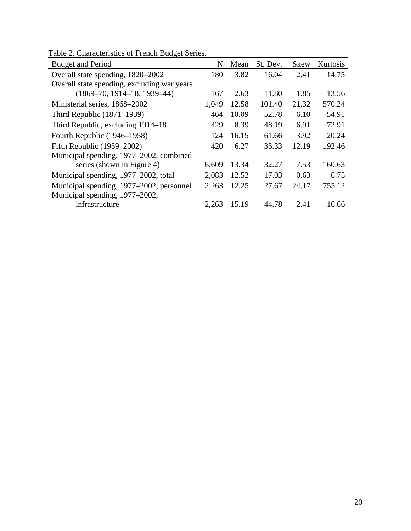| <b>Budget and Period</b>                    | N     | Mean  | St. Dev. | <b>Skew</b> | Kurtosis |
|---------------------------------------------|-------|-------|----------|-------------|----------|
| Overall state spending, 1820–2002           | 180   | 3.82  | 16.04    | 2.41        | 14.75    |
| Overall state spending, excluding war years |       |       |          |             |          |
| $(1869 - 70, 1914 - 18, 1939 - 44)$         | 167   | 2.63  | 11.80    | 1.85        | 13.56    |
| Ministerial series, 1868–2002               | 1,049 | 12.58 | 101.40   | 21.32       | 570.24   |
| Third Republic $(1871-1939)$                | 464   | 10.09 | 52.78    | 6.10        | 54.91    |
| Third Republic, excluding 1914–18           | 429   | 8.39  | 48.19    | 6.91        | 72.91    |
| Fourth Republic (1946–1958)                 | 124   | 16.15 | 61.66    | 3.92        | 20.24    |
| Fifth Republic $(1959-2002)$                | 420   | 6.27  | 35.33    | 12.19       | 192.46   |
| Municipal spending, 1977–2002, combined     |       |       |          |             |          |
| series (shown in Figure 4)                  | 6,609 | 13.34 | 32.27    | 7.53        | 160.63   |
| Municipal spending, 1977–2002, total        | 2,083 | 12.52 | 17.03    | 0.63        | 6.75     |
| Municipal spending, 1977–2002, personnel    | 2,263 | 12.25 | 27.67    | 24.17       | 755.12   |
| Municipal spending, 1977–2002,              |       |       |          |             |          |
| infrastructure                              | 2,263 | 15.19 | 44.78    | 2.41        | 16.66    |

Table 2. Characteristics of French Budget Series.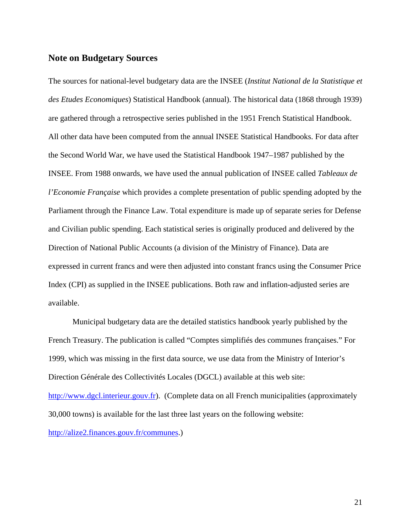#### **Note on Budgetary Sources**

The sources for national-level budgetary data are the INSEE (*Institut National de la Statistique et des Etudes Economiques*) Statistical Handbook (annual). The historical data (1868 through 1939) are gathered through a retrospective series published in the 1951 French Statistical Handbook. All other data have been computed from the annual INSEE Statistical Handbooks. For data after the Second World War, we have used the Statistical Handbook 1947–1987 published by the INSEE. From 1988 onwards, we have used the annual publication of INSEE called *Tableaux de l'Economie Française* which provides a complete presentation of public spending adopted by the Parliament through the Finance Law. Total expenditure is made up of separate series for Defense and Civilian public spending. Each statistical series is originally produced and delivered by the Direction of National Public Accounts (a division of the Ministry of Finance). Data are expressed in current francs and were then adjusted into constant francs using the Consumer Price Index (CPI) as supplied in the INSEE publications. Both raw and inflation-adjusted series are available.

Municipal budgetary data are the detailed statistics handbook yearly published by the French Treasury. The publication is called "Comptes simplifiés des communes françaises." For 1999, which was missing in the first data source, we use data from the Ministry of Interior's Direction Générale des Collectivités Locales (DGCL) available at this web site: [http://www.dgcl.interieur.gouv.fr\)](http://www.dgcl.interieur.gouv.fr/). (Complete data on all French municipalities (approximately 30,000 towns) is available for the last three last years on the following website:

[http://alize2.finances.gouv.fr/communes.](http://alize2.finances.gouv.fr/communes))